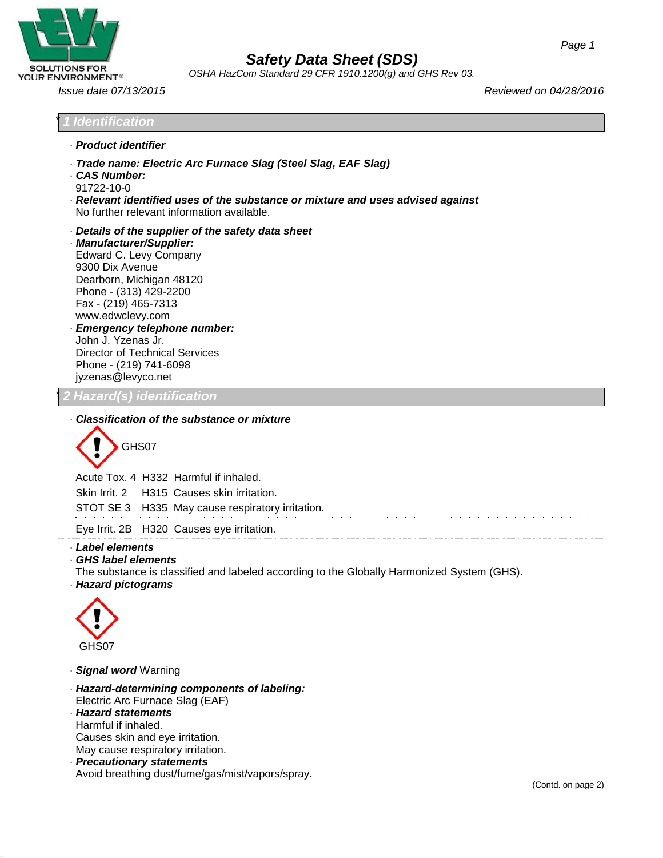

*OSHA HazCom Standard 29 CFR 1910.1200(g) and GHS Rev 03.*

*Issue date 07/13/2015 Reviewed on 04/28/2016*

### \* *1 Identification*

- · *Product identifier*
- · *Trade name: Electric Arc Furnace Slag (Steel Slag, EAF Slag)*
- · *CAS Number:* 91722-10-0
- · *Relevant identified uses of the substance or mixture and uses advised against* No further relevant information available.
- · *Details of the supplier of the safety data sheet*
- · *Manufacturer/Supplier:* Edward C. Levy Company 9300 Dix Avenue Dearborn, Michigan 48120 Phone - (313) 429-2200 Fax - (219) 465-731[3](http://www.edwclevy.com/) [www.edwclevy.com](http://www.edwclevy.com/) · *Emergency telephone number:* John J. Yzenas Jr. Director of Technical Services Phone - (219) 741-609[8](mailto:jyzenas@levyco.net) [jyzenas@levyco.net](mailto:jyzenas@levyco.net)

\* *2 Hazard(s) identification*

### · *Classification of the substance or mixture*

GHS07

Acute Tox. 4 H332 Harmful if inhaled. Skin Irrit. 2 H315 Causes skin irritation. STOT SE 3 H335 May cause respiratory irritation.

Eye Irrit. 2B H320 Causes eye irritation.

### · *Label elements*

- · *GHS label elements*
- The substance is classified and labeled according to the Globally Harmonized System (GHS).
- · *Hazard pictograms*



- · *Signal word* Warning
- · *Hazard-determining components of labeling:* Electric Arc Furnace Slag (EAF) · *Hazard statements*
- Harmful if inhaled.
- Causes skin and eye irritation.
- May cause respiratory irritation.
- · *Precautionary statements* Avoid breathing dust/fume/gas/mist/vapors/spray.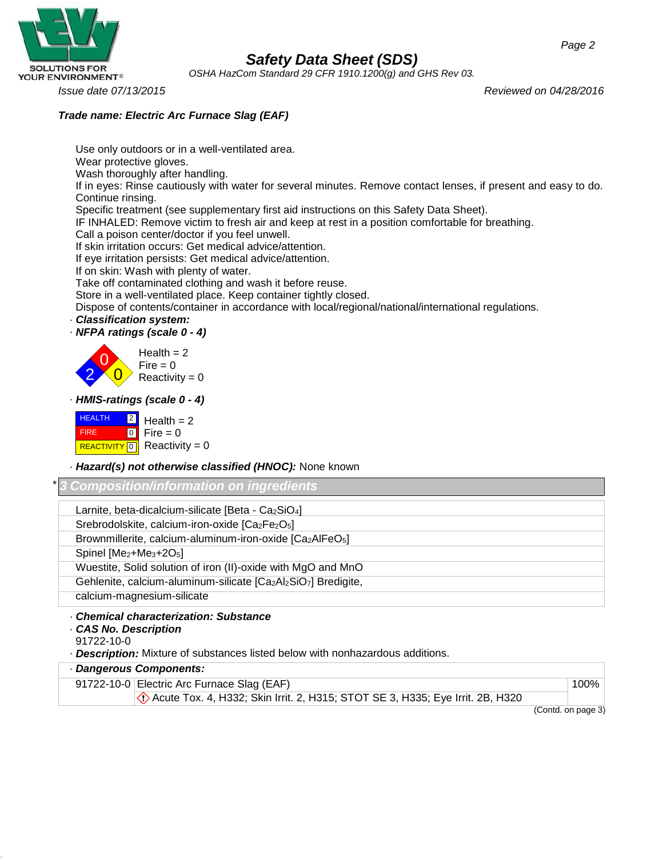

*OSHA HazCom Standard 29 CFR 1910.1200(g) and GHS Rev 03.*

Wear protective gloves.

*Issue date 07/13/2015 Reviewed on 04/28/2016*

### *Trade name: Electric Arc Furnace Slag (EAF)*

Use only outdoors or in a well-ventilated area.

0 Wash thoroughly after handling. If in eyes: Rinse cautiously with water for several minutes. Remove contact lenses, if present and easy to do. Continue rinsing. Specific treatment (see supplementary first aid instructions on this Safety Data Sheet). IF INHALED: Remove victim to fresh air and keep at rest in a position comfortable for breathing. Call a poison center/doctor if you feel unwell. If skin irritation occurs: Get medical advice/attention. If eye irritation persists: Get medical advice/attention. If on skin: Wash with plenty of water. Take off contaminated clothing and wash it before reuse. Store in a well-ventilated place. Keep container tightly closed. Dispose of contents/container in accordance with local/regional/national/international regulations. · *Classification system:* · *NFPA ratings (scale 0 - 4)*  $Health = 2$ Fire =  $0$ <br>Reactivity = 0 · *HMIS-ratings (scale 0 - 4)* **HEALTH** FIRE  $\boxed{2}$  Health = 2  $\begin{bmatrix} 0 \\ 1 \end{bmatrix}$  Fire = 0 REACTIVITY  $\boxed{0}$  Reactivity = 0 · *Hazard(s) not otherwise classified (HNOC):* None known \* *3 Composition/information on ingredients* Larnite, beta-dicalcium-silicate [Beta - Ca2SiO4] Srebrodolskite, calcium-iron-oxide [Ca<sub>2</sub>Fe<sub>2</sub>O<sub>5</sub>] Brownmillerite, calcium-aluminum-iron-oxide [Ca2AlFeO5] Spinel [Me<sub>2</sub>+Me<sub>3</sub>+2O<sub>5</sub>] Wuestite, Solid solution of iron (II)-oxide with MgO and MnO Gehlenite, calcium-aluminum-silicate [Ca2Al2SiO7] Bredigite, calcium-magnesium-silicate

· *Chemical characterization: Substance*

- · *CAS No. Description*
- 91722-10-0

· *Description:* Mixture of substances listed below with nonhazardous additions.

| Dangerous Components: |                                                                               |                          |      |  |
|-----------------------|-------------------------------------------------------------------------------|--------------------------|------|--|
|                       | 91722-10-0 Electric Arc Furnace Slag (EAF)                                    |                          | 100% |  |
|                       | Acute Tox. 4, H332; Skin Irrit. 2, H315; STOT SE 3, H335; Eye Irrit. 2B, H320 |                          |      |  |
|                       |                                                                               | $\overline{\phantom{a}}$ |      |  |

(Contd. on page 3)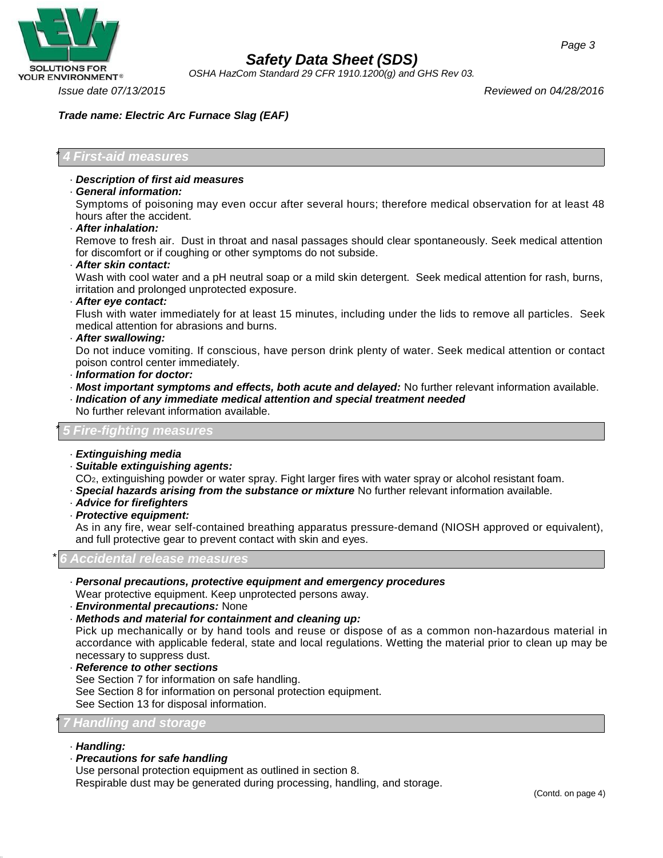

*OSHA HazCom Standard 29 CFR 1910.1200(g) and GHS Rev 03.*

*Issue date 07/13/2015 Reviewed on 04/28/2016*

### *Trade name: Electric Arc Furnace Slag (EAF)*

### \* *4 First-aid measures*

· *Description of first aid measures*

### · *General information:*

Symptoms of poisoning may even occur after several hours; therefore medical observation for at least 48 hours after the accident.

### · *After inhalation:*

Remove to fresh air. Dust in throat and nasal passages should clear spontaneously. Seek medical attention for discomfort or if coughing or other symptoms do not subside.

· *After skin contact:*

Wash with cool water and a pH neutral soap or a mild skin detergent. Seek medical attention for rash, burns, irritation and prolonged unprotected exposure.

· *After eye contact:*

Flush with water immediately for at least 15 minutes, including under the lids to remove all particles. Seek medical attention for abrasions and burns.

#### · *After swallowing:*

Do not induce vomiting. If conscious, have person drink plenty of water. Seek medical attention or contact poison control center immediately.

- · *Information for doctor:*
- · *Most important symptoms and effects, both acute and delayed:* No further relevant information available.
- · *Indication of any immediate medical attention and special treatment needed* No further relevant information available.

### \* *5 Fire-fighting measures*

- · *Extinguishing media*
- · *Suitable extinguishing agents:*
- CO2, extinguishing powder or water spray. Fight larger fires with water spray or alcohol resistant foam.
- · *Special hazards arising from the substance or mixture* No further relevant information available.
- · *Advice for firefighters*
- · *Protective equipment:*

As in any fire, wear self-contained breathing apparatus pressure-demand (NIOSH approved or equivalent), and full protective gear to prevent contact with skin and eyes.

### \* *6 Accidental release measures*

· *Personal precautions, protective equipment and emergency procedures*

Wear protective equipment. Keep unprotected persons away.

- · *Environmental precautions:* None
- · *Methods and material for containment and cleaning up:*

Pick up mechanically or by hand tools and reuse or dispose of as a common non-hazardous material in accordance with applicable federal, state and local regulations. Wetting the material prior to clean up may be necessary to suppress dust.

· *Reference to other sections*

See Section 7 for information on safe handling.

See Section 8 for information on personal protection equipment. See Section 13 for disposal information.

### \* *7 Handling and storage*

- · *Handling:*
- · *Precautions for safe handling*

Use personal protection equipment as outlined in section 8.

Respirable dust may be generated during processing, handling, and storage.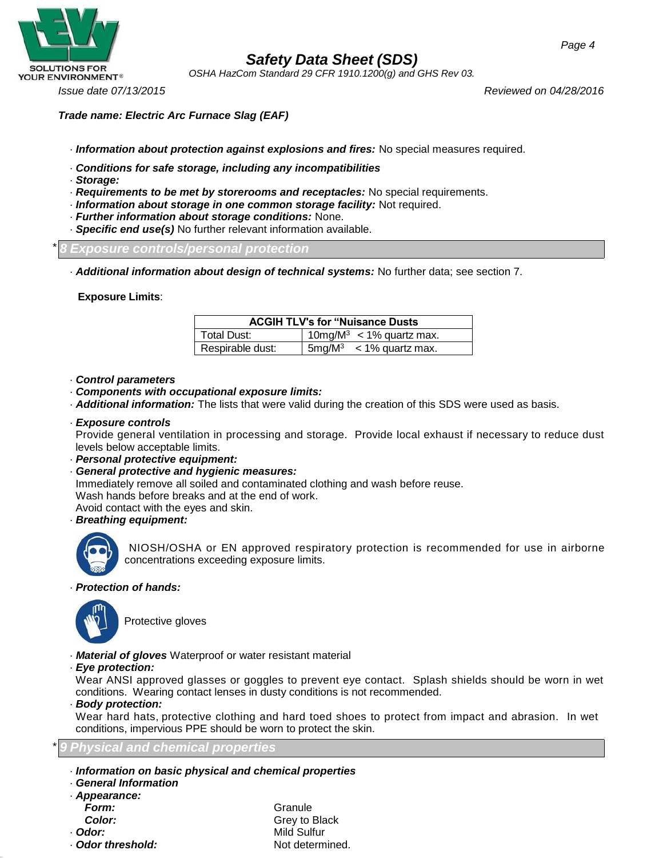

*OSHA HazCom Standard 29 CFR 1910.1200(g) and GHS Rev 03.*

*Issue date 07/13/2015 Reviewed on 04/28/2016*

*Trade name: Electric Arc Furnace Slag (EAF)*

- · *Information about protection against explosions and fires:* No special measures required.
- · *Conditions for safe storage, including any incompatibilities*
- · *Storage:*
- · *Requirements to be met by storerooms and receptacles:* No special requirements.
- · *Information about storage in one common storage facility:* Not required.
- · *Further information about storage conditions:* None.
- · *Specific end use(s)* No further relevant information available.

\* *8 Exposure controls/personal protection*

· *Additional information about design of technical systems:* No further data; see section 7.

**Exposure Limits**:

| <b>ACGIH TLV's for "Nuisance Dusts</b> |                                      |  |  |
|----------------------------------------|--------------------------------------|--|--|
| Total Dust:                            | 10mg/M <sup>3</sup> < 1% quartz max. |  |  |
| Respirable dust:                       | $5mg/M^3$ < 1% quartz max.           |  |  |

- · *Control parameters*
- · *Components with occupational exposure limits:*
- · *Additional information:* The lists that were valid during the creation of this SDS were used as basis.
- · *Exposure controls*

Provide general ventilation in processing and storage. Provide local exhaust if necessary to reduce dust levels below acceptable limits.

- · *Personal protective equipment:*
- · *General protective and hygienic measures:*

Immediately remove all soiled and contaminated clothing and wash before reuse. Wash hands before breaks and at the end of work.

Avoid contact with the eyes and skin.

· *Breathing equipment:*



NIOSH/OSHA or EN approved respiratory protection is recommended for use in airborne concentrations exceeding exposure limits.

### · *Protection of hands:*



Protective gloves

- · *Material of gloves* Waterproof or water resistant material
- · *Eye protection:*

Wear ANSI approved glasses or goggles to prevent eye contact. Splash shields should be worn in wet conditions. Wearing contact lenses in dusty conditions is not recommended.

· *Body protection:*

Wear hard hats, protective clothing and hard toed shoes to protect from impact and abrasion. In wet conditions, impervious PPE should be worn to protect the skin.

### \* *9 Physical and chemical properties*

- · *Information on basic physical and chemical properties*
- · *General Information* · *Appearance:* **Form:** Granule **Color:** Grey to Black

· *Odor:* Mild Sulfur · **Odor threshold:** Not determined.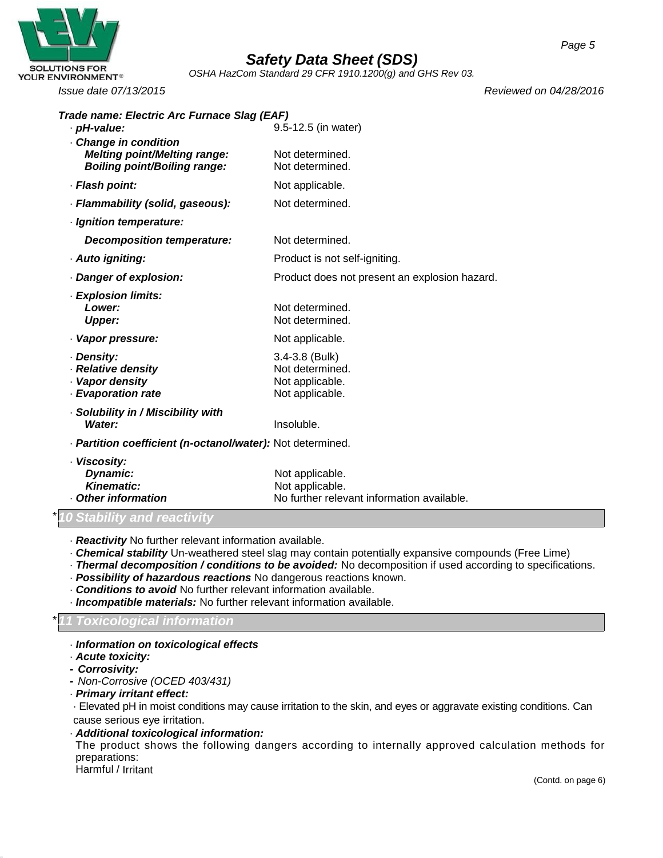

*OSHA HazCom Standard 29 CFR 1910.1200(g) and GHS Rev 03.*

*Issue date 07/13/2015 Reviewed on 04/28/2016*

| Trade name: Electric Arc Furnace Slag (EAF)                  |                                               |
|--------------------------------------------------------------|-----------------------------------------------|
| · pH-value:                                                  | 9.5-12.5 (in water)                           |
| - Change in condition<br><b>Melting point/Melting range:</b> | Not determined.                               |
| <b>Boiling point/Boiling range:</b>                          | Not determined.                               |
| · Flash point:                                               | Not applicable.                               |
| · Flammability (solid, gaseous):                             | Not determined.                               |
| · Ignition temperature:                                      |                                               |
| Decomposition temperature:                                   | Not determined.                               |
| · Auto igniting:                                             | Product is not self-igniting.                 |
| Danger of explosion:                                         | Product does not present an explosion hazard. |
| · Explosion limits:                                          |                                               |
| Lower:                                                       | Not determined.                               |
| <b>Upper:</b>                                                | Not determined.                               |
| · Vapor pressure:                                            | Not applicable.                               |
| · Density:                                                   | 3.4-3.8 (Bulk)                                |
| · Relative density                                           | Not determined.                               |
| · Vapor density<br>- Evaporation rate                        | Not applicable.<br>Not applicable.            |
|                                                              |                                               |
| Solubility in / Miscibility with<br>Water:                   | Insoluble.                                    |
|                                                              |                                               |
| - Partition coefficient (n-octanol/water): Not determined.   |                                               |
| · Viscosity:                                                 |                                               |
| Dynamic:<br><b>Kinematic:</b>                                | Not applicable.                               |
|                                                              | Not applicable.                               |

### • **Other information** No further relevant information available.

### \**10 Stability and reactivity*

- · *Reactivity* No further relevant information available.
- · *Chemical stability* Un-weathered steel slag may contain potentially expansive compounds (Free Lime)
- · *Thermal decomposition / conditions to be avoided:* No decomposition if used according to specifications.
- · *Possibility of hazardous reactions* No dangerous reactions known.
- · *Conditions to avoid* No further relevant information available.
- · *Incompatible materials:* No further relevant information available.

### \**11 Toxicological information*

#### · *Information on toxicological effects*

- · *Acute toxicity:*
- *- Corrosivity:*
- *- Non-Corrosive (OCED 403/431)*
- · *Primary irritant effect:*

· Elevated pH in moist conditions may cause irritation to the skin, and eyes or aggravate existing conditions. Can cause serious eye irritation.

### · *Additional toxicological information:*

The product shows the following dangers according to internally approved calculation methods for preparations:

Harmful / Irritant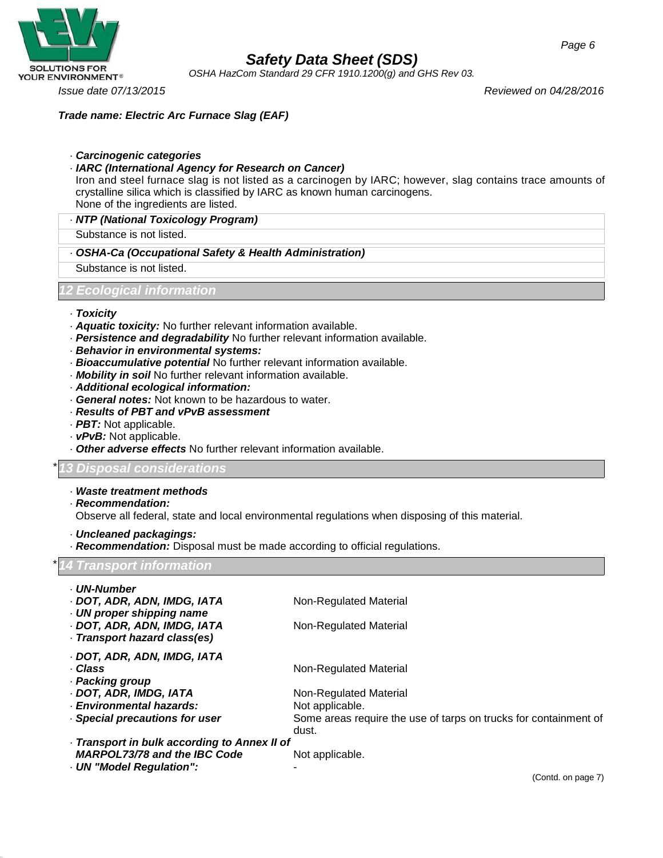

*OSHA HazCom Standard 29 CFR 1910.1200(g) and GHS Rev 03.*

*Issue date 07/13/2015 Reviewed on 04/28/2016*

*Page 6*

*Trade name: Electric Arc Furnace Slag (EAF)*

- · *Carcinogenic categories*
- · *IARC (International Agency for Research on Cancer)*

Iron and steel furnace slag is not listed as a carcinogen by IARC; however, slag contains trace amounts of crystalline silica which is classified by IARC as known human carcinogens. None of the ingredients are listed.

· *NTP (National Toxicology Program)*

Substance is not listed.

- · *OSHA-Ca (Occupational Safety & Health Administration)*
- Substance is not listed.

### *12 Ecological information*

- · *Toxicity*
- · *Aquatic toxicity:* No further relevant information available.
- · *Persistence and degradability* No further relevant information available.
- · *Behavior in environmental systems:*
- · *Bioaccumulative potential* No further relevant information available.
- · *Mobility in soil* No further relevant information available.
- · *Additional ecological information:*
- · *General notes:* Not known to be hazardous to water.
- · *Results of PBT and vPvB assessment*
- · *PBT:* Not applicable.
- · *vPvB:* Not applicable.
- · *Other adverse effects* No further relevant information available.

### \**13 Disposal considerations*

- · *Waste treatment methods*
- · *Recommendation:*
- Observe all federal, state and local environmental regulations when disposing of this material.
- · *Uncleaned packagings:*

· *Recommendation:* Disposal must be made according to official regulations. \**14 Transport information* · *UN-Number* · *DOT, ADR, ADN, IMDG, IATA* Non-Regulated Material · *UN proper shipping name* · **DOT, ADR, ADN, IMDG, IATA** Non-Regulated Material · *Transport hazard class(es)* · *DOT, ADR, ADN, IMDG, IATA* · Class **Class** Non-Regulated Material · *Packing group* · **DOT, ADR, IMDG, IATA** Non-Regulated Material · *Environmental hazards:* Not applicable. · **Special precautions for user** Some areas require the use of tarps on trucks for containment of dust. · *Transport in bulk according to Annex II of MARPOL73/78 and the IBC Code* Not applicable. · *UN "Model Regulation":* -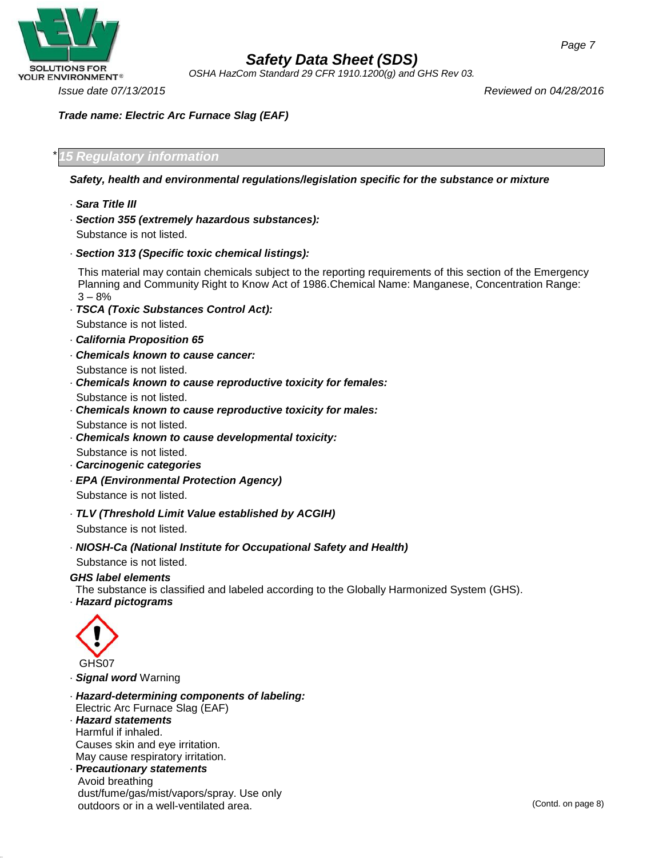

*OSHA HazCom Standard 29 CFR 1910.1200(g) and GHS Rev 03.*

*Trade name: Electric Arc Furnace Slag (EAF)*

\**15 Regulatory information*

*Safety, health and environmental regulations/legislation specific for the substance or mixture*

- · *Sara Title III*
- · *Section 355 (extremely hazardous substances):* Substance is not listed.
- · *Section 313 (Specific toxic chemical listings):*

This material may contain chemicals subject to the reporting requirements of this section of the Emergency Planning and Community Right to Know Act of 1986.Chemical Name: Manganese, Concentration Range: 3 – 8%

- · *TSCA (Toxic Substances Control Act):* Substance is not listed.
- · *California Proposition 65*
- · *Chemicals known to cause cancer:*
- Substance is not listed.
- · *Chemicals known to cause reproductive toxicity for females:*

Substance is not listed.

· *Chemicals known to cause reproductive toxicity for males:*

Substance is not listed.

· *Chemicals known to cause developmental toxicity:*

Substance is not listed.

- · *Carcinogenic categories*
- · *EPA (Environmental Protection Agency)* Substance is not listed.
- · *TLV (Threshold Limit Value established by ACGIH)* Substance is not listed.
- · *NIOSH-Ca (National Institute for Occupational Safety and Health)*

Substance is not listed.

### *GHS label elements*

The substance is classified and labeled according to the Globally Harmonized System (GHS).

· *Hazard pictograms*



· *Signal word* Warning

- · *Hazard-determining components of labeling:* Electric Arc Furnace Slag (EAF)
- · *Hazard statements* Harmful if inhaled. Causes skin and eye irritation. May cause respiratory irritation.
- · **P***recautionary statements* Avoid breathing dust/fume/gas/mist/vapors/spray. Use only outdoors or in a well-ventilated area. The contraction of the contraction of the contd. on page 8)